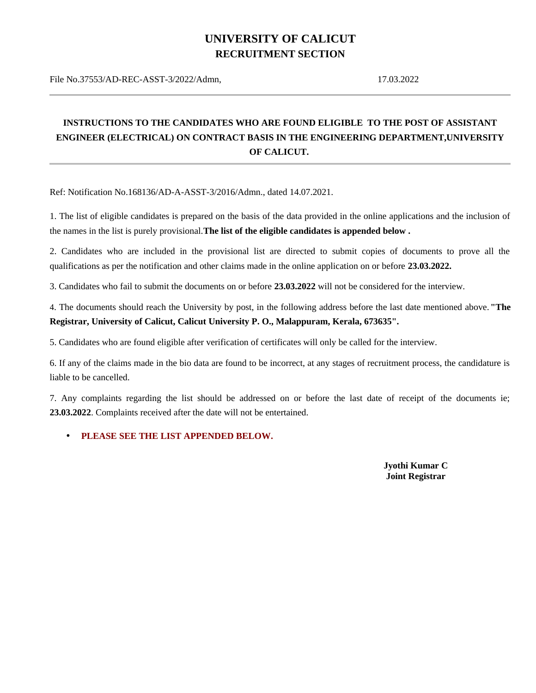## **UNIVERSITY OF CALICUT RECRUITMENT SECTION**

File No.37553/AD-REC-ASST-3/2022/Admn, 17.03.2022

## **INSTRUCTIONS TO THE CANDIDATES WHO ARE FOUND ELIGIBLE TO THE POST OF ASSISTANT ENGINEER (ELECTRICAL) ON CONTRACT BASIS IN THE ENGINEERING DEPARTMENT,UNIVERSITY OF CALICUT.**

Ref: Notification No.168136/AD-A-ASST-3/2016/Admn., dated 14.07.2021.

1. The list of eligible candidates is prepared on the basis of the data provided in the online applications and the inclusion of the names in the list is purely provisional.**The list of the eligible candidates is appended below .**

2. Candidates who are included in the provisional list are directed to submit copies of documents to prove all the qualifications as per the notification and other claims made in the online application on or before **23.03.2022.**

3. Candidates who fail to submit the documents on or before **23.03.2022** will not be considered for the interview.

4. The documents should reach the University by post, in the following address before the last date mentioned above.**"The Registrar, University of Calicut, Calicut University P. O., Malappuram, Kerala, 673635".**

5. Candidates who are found eligible after verification of certificates will only be called for the interview.

6. If any of the claims made in the bio data are found to be incorrect, at any stages of recruitment process, the candidature is liable to be cancelled.

7. Any complaints regarding the list should be addressed on or before the last date of receipt of the documents ie; **23.03.2022**. Complaints received after the date will not be entertained.

## • **PLEASE SEE THE LIST APPENDED BELOW.**

 **Jyothi Kumar C Joint Registrar**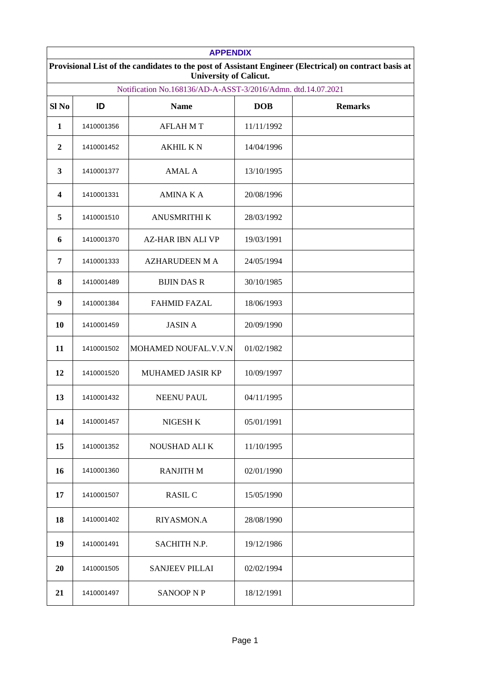| <b>APPENDIX</b>                                                                                                                         |            |                          |            |                |  |
|-----------------------------------------------------------------------------------------------------------------------------------------|------------|--------------------------|------------|----------------|--|
| Provisional List of the candidates to the post of Assistant Engineer (Electrical) on contract basis at<br><b>University of Calicut.</b> |            |                          |            |                |  |
| Notification No.168136/AD-A-ASST-3/2016/Admn. dtd.14.07.2021                                                                            |            |                          |            |                |  |
| Sl No                                                                                                                                   | ID         | <b>Name</b>              | <b>DOB</b> | <b>Remarks</b> |  |
| $\mathbf{1}$                                                                                                                            | 1410001356 | <b>AFLAHMT</b>           | 11/11/1992 |                |  |
| $\overline{2}$                                                                                                                          | 1410001452 | <b>AKHIL K N</b>         | 14/04/1996 |                |  |
| 3                                                                                                                                       | 1410001377 | AMAL A                   | 13/10/1995 |                |  |
| 4                                                                                                                                       | 1410001331 | AMINA K A                | 20/08/1996 |                |  |
| 5                                                                                                                                       | 1410001510 | <b>ANUSMRITHI K</b>      | 28/03/1992 |                |  |
| 6                                                                                                                                       | 1410001370 | <b>AZ-HAR IBN ALI VP</b> | 19/03/1991 |                |  |
| 7                                                                                                                                       | 1410001333 | <b>AZHARUDEEN M A</b>    | 24/05/1994 |                |  |
| 8                                                                                                                                       | 1410001489 | <b>BIJIN DAS R</b>       | 30/10/1985 |                |  |
| 9                                                                                                                                       | 1410001384 | <b>FAHMID FAZAL</b>      | 18/06/1993 |                |  |
| 10                                                                                                                                      | 1410001459 | <b>JASIN A</b>           | 20/09/1990 |                |  |
| 11                                                                                                                                      | 1410001502 | MOHAMED NOUFAL.V.V.N     | 01/02/1982 |                |  |
| 12                                                                                                                                      | 1410001520 | MUHAMED JASIR KP         | 10/09/1997 |                |  |
| 13                                                                                                                                      | 1410001432 | <b>NEENU PAUL</b>        | 04/11/1995 |                |  |
| 14                                                                                                                                      | 1410001457 | NIGESH K                 | 05/01/1991 |                |  |
| 15                                                                                                                                      | 1410001352 | NOUSHAD ALI K            | 11/10/1995 |                |  |
| 16                                                                                                                                      | 1410001360 | <b>RANJITH M</b>         | 02/01/1990 |                |  |
| 17                                                                                                                                      | 1410001507 | RASIL C                  | 15/05/1990 |                |  |
| 18                                                                                                                                      | 1410001402 | RIYASMON.A               | 28/08/1990 |                |  |
| 19                                                                                                                                      | 1410001491 | SACHITH N.P.             | 19/12/1986 |                |  |
| 20                                                                                                                                      | 1410001505 | <b>SANJEEV PILLAI</b>    | 02/02/1994 |                |  |
| 21                                                                                                                                      | 1410001497 | SANOOP N P               | 18/12/1991 |                |  |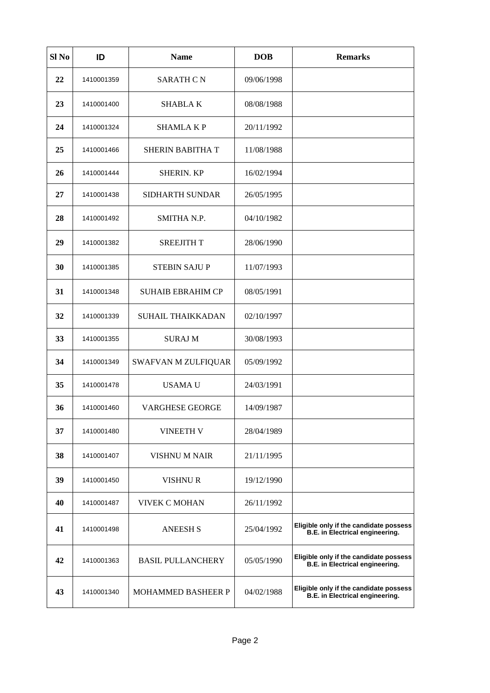| Sl No | ID         | <b>Name</b>              | <b>DOB</b> | <b>Remarks</b>                                                            |
|-------|------------|--------------------------|------------|---------------------------------------------------------------------------|
| 22    | 1410001359 | <b>SARATH C N</b>        | 09/06/1998 |                                                                           |
| 23    | 1410001400 | <b>SHABLAK</b>           | 08/08/1988 |                                                                           |
| 24    | 1410001324 | SHAMLA K P               | 20/11/1992 |                                                                           |
| 25    | 1410001466 | SHERIN BABITHA T         | 11/08/1988 |                                                                           |
| 26    | 1410001444 | SHERIN. KP               | 16/02/1994 |                                                                           |
| 27    | 1410001438 | SIDHARTH SUNDAR          | 26/05/1995 |                                                                           |
| 28    | 1410001492 | SMITHA N.P.              | 04/10/1982 |                                                                           |
| 29    | 1410001382 | <b>SREEJITH T</b>        | 28/06/1990 |                                                                           |
| 30    | 1410001385 | <b>STEBIN SAJUP</b>      | 11/07/1993 |                                                                           |
| 31    | 1410001348 | <b>SUHAIB EBRAHIM CP</b> | 08/05/1991 |                                                                           |
| 32    | 1410001339 | SUHAIL THAIKKADAN        | 02/10/1997 |                                                                           |
| 33    | 1410001355 | <b>SURAJ M</b>           | 30/08/1993 |                                                                           |
| 34    | 1410001349 | SWAFVAN M ZULFIQUAR      | 05/09/1992 |                                                                           |
| 35    | 1410001478 | USAMA U                  | 24/03/1991 |                                                                           |
| 36    | 1410001460 | <b>VARGHESE GEORGE</b>   | 14/09/1987 |                                                                           |
| 37    | 1410001480 | <b>VINEETH V</b>         | 28/04/1989 |                                                                           |
| 38    | 1410001407 | VISHNU M NAIR            | 21/11/1995 |                                                                           |
| 39    | 1410001450 | VISHNU R                 | 19/12/1990 |                                                                           |
| 40    | 1410001487 | <b>VIVEK C MOHAN</b>     | 26/11/1992 |                                                                           |
| 41    | 1410001498 | <b>ANEESH S</b>          | 25/04/1992 | Eligible only if the candidate possess<br>B.E. in Electrical engineering. |
| 42    | 1410001363 | <b>BASIL PULLANCHERY</b> | 05/05/1990 | Eligible only if the candidate possess<br>B.E. in Electrical engineering. |
| 43    | 1410001340 | MOHAMMED BASHEER P       | 04/02/1988 | Eligible only if the candidate possess<br>B.E. in Electrical engineering. |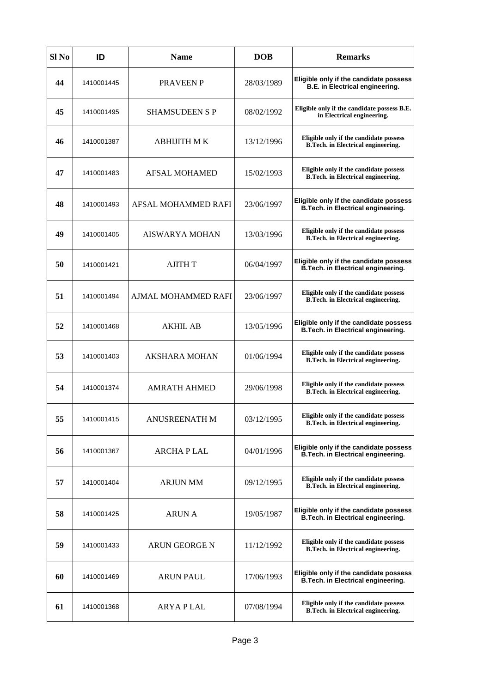| Sl No | ID         | <b>Name</b>           | <b>DOB</b> | <b>Remarks</b>                                                               |
|-------|------------|-----------------------|------------|------------------------------------------------------------------------------|
| 44    | 1410001445 | <b>PRAVEEN P</b>      | 28/03/1989 | Eligible only if the candidate possess<br>B.E. in Electrical engineering.    |
| 45    | 1410001495 | <b>SHAMSUDEEN S P</b> | 08/02/1992 | Eligible only if the candidate possess B.E.<br>in Electrical engineering.    |
| 46    | 1410001387 | ABHIJITH M K          | 13/12/1996 | Eligible only if the candidate possess<br>B.Tech. in Electrical engineering. |
| 47    | 1410001483 | AFSAL MOHAMED         | 15/02/1993 | Eligible only if the candidate possess<br>B.Tech. in Electrical engineering. |
| 48    | 1410001493 | AFSAL MOHAMMED RAFI   | 23/06/1997 | Eligible only if the candidate possess<br>B.Tech. in Electrical engineering. |
| 49    | 1410001405 | <b>AISWARYA MOHAN</b> | 13/03/1996 | Eligible only if the candidate possess<br>B.Tech. in Electrical engineering. |
| 50    | 1410001421 | <b>AJITH T</b>        | 06/04/1997 | Eligible only if the candidate possess<br>B.Tech. in Electrical engineering. |
| 51    | 1410001494 | AJMAL MOHAMMED RAFI   | 23/06/1997 | Eligible only if the candidate possess<br>B.Tech. in Electrical engineering. |
| 52    | 1410001468 | AKHIL AB              | 13/05/1996 | Eligible only if the candidate possess<br>B.Tech. in Electrical engineering. |
| 53    | 1410001403 | AKSHARA MOHAN         | 01/06/1994 | Eligible only if the candidate possess<br>B.Tech. in Electrical engineering. |
| 54    | 1410001374 | <b>AMRATH AHMED</b>   | 29/06/1998 | Eligible only if the candidate possess<br>B.Tech. in Electrical engineering. |
| 55    | 1410001415 | <b>ANUSREENATH M</b>  | 03/12/1995 | Eligible only if the candidate possess<br>B.Tech. in Electrical engineering. |
| 56    | 1410001367 | ARCHA P LAL           | 04/01/1996 | Eligible only if the candidate possess<br>B.Tech. in Electrical engineering. |
| 57    | 1410001404 | <b>ARJUN MM</b>       | 09/12/1995 | Eligible only if the candidate possess<br>B.Tech. in Electrical engineering. |
| 58    | 1410001425 | ARUN A                | 19/05/1987 | Eligible only if the candidate possess<br>B.Tech. in Electrical engineering. |
| 59    | 1410001433 | ARUN GEORGE N         | 11/12/1992 | Eligible only if the candidate possess<br>B.Tech. in Electrical engineering. |
| 60    | 1410001469 | <b>ARUN PAUL</b>      | 17/06/1993 | Eligible only if the candidate possess<br>B.Tech. in Electrical engineering. |
| 61    | 1410001368 | <b>ARYAPLAL</b>       | 07/08/1994 | Eligible only if the candidate possess<br>B.Tech. in Electrical engineering. |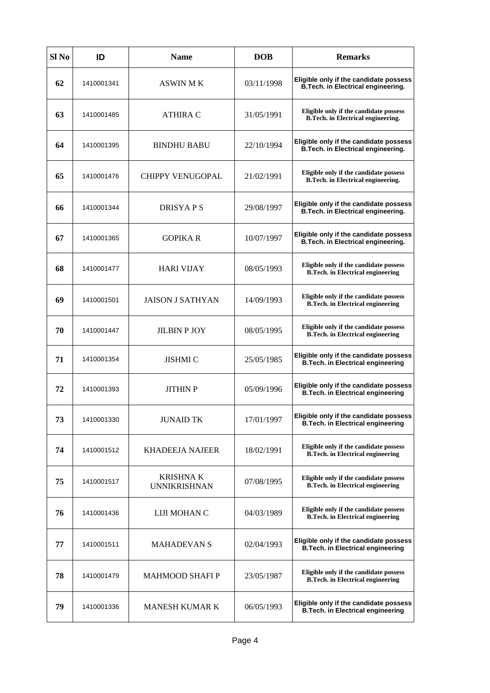| Sl No | ID         | <b>Name</b>                             | <b>DOB</b> | <b>Remarks</b>                                                                     |
|-------|------------|-----------------------------------------|------------|------------------------------------------------------------------------------------|
| 62    | 1410001341 | ASWIN M K                               | 03/11/1998 | Eligible only if the candidate possess<br>B.Tech. in Electrical engineering.       |
| 63    | 1410001485 | ATHIRA C                                | 31/05/1991 | Eligible only if the candidate possess<br>B.Tech. in Electrical engineering.       |
| 64    | 1410001395 | <b>BINDHU BABU</b>                      | 22/10/1994 | Eligible only if the candidate possess<br>B.Tech. in Electrical engineering.       |
| 65    | 1410001476 | <b>CHIPPY VENUGOPAL</b>                 | 21/02/1991 | Eligible only if the candidate possess<br>B.Tech. in Electrical engineering.       |
| 66    | 1410001344 | <b>DRISYAPS</b>                         | 29/08/1997 | Eligible only if the candidate possess<br>B.Tech. in Electrical engineering.       |
| 67    | 1410001365 | <b>GOPIKAR</b>                          | 10/07/1997 | Eligible only if the candidate possess<br>B.Tech. in Electrical engineering.       |
| 68    | 1410001477 | <b>HARI VIJAY</b>                       | 08/05/1993 | Eligible only if the candidate possess<br><b>B.Tech.</b> in Electrical engineering |
| 69    | 1410001501 | <b>JAISON J SATHYAN</b>                 | 14/09/1993 | Eligible only if the candidate possess<br><b>B.Tech.</b> in Electrical engineering |
| 70    | 1410001447 | <b>JILBIN P JOY</b>                     | 08/05/1995 | Eligible only if the candidate possess<br><b>B.Tech.</b> in Electrical engineering |
| 71    | 1410001354 | <b>JISHMI C</b>                         | 25/05/1985 | Eligible only if the candidate possess<br>B.Tech. in Electrical engineering        |
| 72    | 1410001393 | <b>JITHIN P</b>                         | 05/09/1996 | Eligible only if the candidate possess<br>B.Tech. in Electrical engineering        |
| 73    | 1410001330 | <b>JUNAID TK</b>                        | 17/01/1997 | Eligible only if the candidate possess<br>B.Tech. in Electrical engineering        |
| 74    | 1410001512 | KHADEEJA NAJEER                         | 18/02/1991 | Eligible only if the candidate possess<br><b>B.Tech.</b> in Electrical engineering |
| 75    | 1410001517 | <b>KRISHNA K</b><br><b>UNNIKRISHNAN</b> | 07/08/1995 | Eligible only if the candidate possess<br><b>B.Tech.</b> in Electrical engineering |
| 76    | 1410001436 | LIJI MOHAN C                            | 04/03/1989 | Eligible only if the candidate possess<br><b>B.Tech.</b> in Electrical engineering |
| 77    | 1410001511 | <b>MAHADEVAN S</b>                      | 02/04/1993 | Eligible only if the candidate possess<br>B.Tech. in Electrical engineering        |
| 78    | 1410001479 | <b>MAHMOOD SHAFI P</b>                  | 23/05/1987 | Eligible only if the candidate possess<br><b>B.Tech.</b> in Electrical engineering |
| 79    | 1410001336 | <b>MANESH KUMAR K</b>                   | 06/05/1993 | Eligible only if the candidate possess<br><b>B.Tech. in Electrical engineering</b> |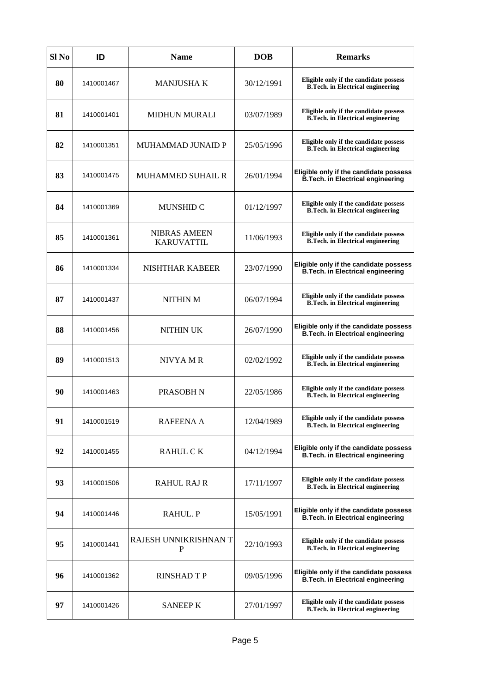| Sl No | ID         | <b>Name</b>                              | <b>DOB</b> | <b>Remarks</b>                                                                     |
|-------|------------|------------------------------------------|------------|------------------------------------------------------------------------------------|
| 80    | 1410001467 | MANJUSHA K                               | 30/12/1991 | Eligible only if the candidate possess<br><b>B.Tech.</b> in Electrical engineering |
| 81    | 1410001401 | <b>MIDHUN MURALI</b>                     | 03/07/1989 | Eligible only if the candidate possess<br><b>B.Tech.</b> in Electrical engineering |
| 82    | 1410001351 | MUHAMMAD JUNAID P                        | 25/05/1996 | Eligible only if the candidate possess<br><b>B.Tech.</b> in Electrical engineering |
| 83    | 1410001475 | <b>MUHAMMED SUHAIL R</b>                 | 26/01/1994 | Eligible only if the candidate possess<br>B.Tech. in Electrical engineering        |
| 84    | 1410001369 | <b>MUNSHID C</b>                         | 01/12/1997 | Eligible only if the candidate possess<br><b>B.Tech.</b> in Electrical engineering |
| 85    | 1410001361 | <b>NIBRAS AMEEN</b><br><b>KARUVATTIL</b> | 11/06/1993 | Eligible only if the candidate possess<br><b>B.Tech.</b> in Electrical engineering |
| 86    | 1410001334 | NISHTHAR KABEER                          | 23/07/1990 | Eligible only if the candidate possess<br>B.Tech. in Electrical engineering        |
| 87    | 1410001437 | NITHIN M                                 | 06/07/1994 | Eligible only if the candidate possess<br><b>B.Tech.</b> in Electrical engineering |
| 88    | 1410001456 | <b>NITHIN UK</b>                         | 26/07/1990 | Eligible only if the candidate possess<br><b>B.Tech. in Electrical engineering</b> |
| 89    | 1410001513 | NIVYA MR                                 | 02/02/1992 | Eligible only if the candidate possess<br><b>B.Tech.</b> in Electrical engineering |
| 90    | 1410001463 | PRASOBH N                                | 22/05/1986 | Eligible only if the candidate possess<br><b>B.Tech.</b> in Electrical engineering |
| 91    | 1410001519 | <b>RAFEENA A</b>                         | 12/04/1989 | Eligible only if the candidate possess<br><b>B.Tech.</b> in Electrical engineering |
| 92    | 1410001455 | RAHUL C K                                | 04/12/1994 | Eligible only if the candidate possess<br>B.Tech. in Electrical engineering        |
| 93    | 1410001506 | <b>RAHUL RAJ R</b>                       | 17/11/1997 | Eligible only if the candidate possess<br><b>B.Tech.</b> in Electrical engineering |
| 94    | 1410001446 | RAHUL. P                                 | 15/05/1991 | Eligible only if the candidate possess<br><b>B.Tech. in Electrical engineering</b> |
| 95    | 1410001441 | RAJESH UNNIKRISHNAN T<br>P               | 22/10/1993 | Eligible only if the candidate possess<br><b>B.Tech.</b> in Electrical engineering |
| 96    | 1410001362 | <b>RINSHAD T P</b>                       | 09/05/1996 | Eligible only if the candidate possess<br><b>B.Tech. in Electrical engineering</b> |
| 97    | 1410001426 | <b>SANEEP K</b>                          | 27/01/1997 | Eligible only if the candidate possess<br><b>B.Tech.</b> in Electrical engineering |